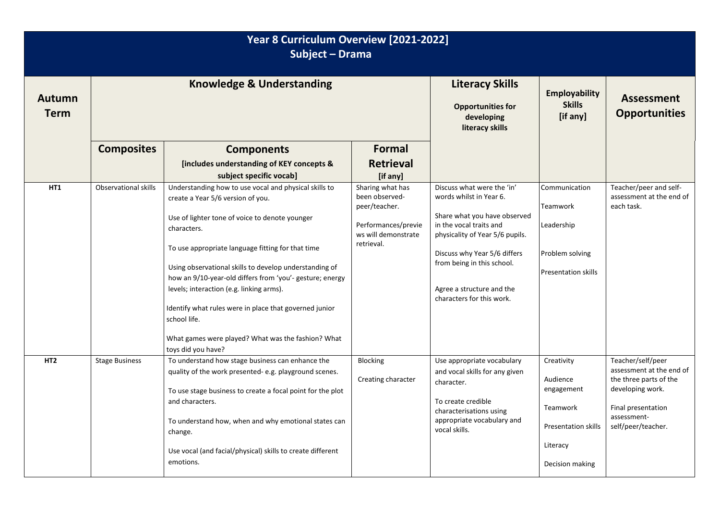| Year 8 Curriculum Overview [2021-2022]<br>Subject - Drama |                                      |                                                                                                                                                                                                                                                                                                                                                                                                                                                                                                                                          |                                                                                                                 |                                                                                                                                                                                                                                                                             |                                                                                                               |                                                                                                                                                        |  |  |
|-----------------------------------------------------------|--------------------------------------|------------------------------------------------------------------------------------------------------------------------------------------------------------------------------------------------------------------------------------------------------------------------------------------------------------------------------------------------------------------------------------------------------------------------------------------------------------------------------------------------------------------------------------------|-----------------------------------------------------------------------------------------------------------------|-----------------------------------------------------------------------------------------------------------------------------------------------------------------------------------------------------------------------------------------------------------------------------|---------------------------------------------------------------------------------------------------------------|--------------------------------------------------------------------------------------------------------------------------------------------------------|--|--|
| <b>Autumn</b><br><b>Term</b>                              | <b>Knowledge &amp; Understanding</b> |                                                                                                                                                                                                                                                                                                                                                                                                                                                                                                                                          |                                                                                                                 | <b>Literacy Skills</b><br><b>Opportunities for</b><br>developing<br>literacy skills                                                                                                                                                                                         | <b>Employability</b><br><b>Skills</b><br>[if any]                                                             | <b>Assessment</b><br><b>Opportunities</b>                                                                                                              |  |  |
|                                                           | <b>Composites</b>                    | <b>Components</b>                                                                                                                                                                                                                                                                                                                                                                                                                                                                                                                        | Formal                                                                                                          |                                                                                                                                                                                                                                                                             |                                                                                                               |                                                                                                                                                        |  |  |
|                                                           |                                      | [includes understanding of KEY concepts &<br>subject specific vocab]                                                                                                                                                                                                                                                                                                                                                                                                                                                                     | <b>Retrieval</b><br>[if any]                                                                                    |                                                                                                                                                                                                                                                                             |                                                                                                               |                                                                                                                                                        |  |  |
| HT1                                                       | Observational skills                 | Understanding how to use vocal and physical skills to<br>create a Year 5/6 version of you.<br>Use of lighter tone of voice to denote younger<br>characters.<br>To use appropriate language fitting for that time<br>Using observational skills to develop understanding of<br>how an 9/10-year-old differs from 'you'- gesture; energy<br>levels; interaction (e.g. linking arms).<br>Identify what rules were in place that governed junior<br>school life.<br>What games were played? What was the fashion? What<br>toys did you have? | Sharing what has<br>been observed-<br>peer/teacher.<br>Performances/previe<br>ws will demonstrate<br>retrieval. | Discuss what were the 'in'<br>words whilst in Year 6.<br>Share what you have observed<br>in the vocal traits and<br>physicality of Year 5/6 pupils.<br>Discuss why Year 5/6 differs<br>from being in this school.<br>Agree a structure and the<br>characters for this work. | Communication<br>Teamwork<br>Leadership<br>Problem solving<br><b>Presentation skills</b>                      | Teacher/peer and self-<br>assessment at the end of<br>each task.                                                                                       |  |  |
| HT <sub>2</sub>                                           | <b>Stage Business</b>                | To understand how stage business can enhance the<br>quality of the work presented-e.g. playground scenes.<br>To use stage business to create a focal point for the plot<br>and characters.<br>To understand how, when and why emotional states can<br>change.<br>Use vocal (and facial/physical) skills to create different<br>emotions.                                                                                                                                                                                                 | Blocking<br>Creating character                                                                                  | Use appropriate vocabulary<br>and vocal skills for any given<br>character.<br>To create credible<br>characterisations using<br>appropriate vocabulary and<br>vocal skills.                                                                                                  | Creativity<br>Audience<br>engagement<br>Teamwork<br><b>Presentation skills</b><br>Literacy<br>Decision making | Teacher/self/peer<br>assessment at the end of<br>the three parts of the<br>developing work.<br>Final presentation<br>assessment-<br>self/peer/teacher. |  |  |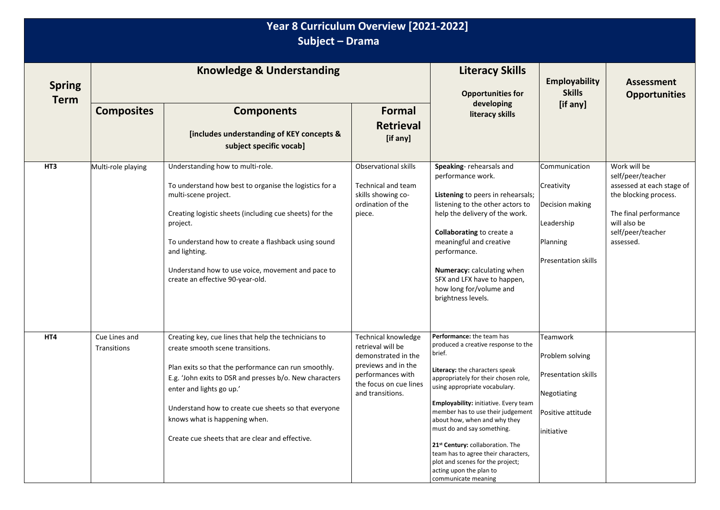## **Year 8 Curriculum Overview [2021-2022] Subject – Drama**

| <b>Spring</b> |                              | <b>Knowledge &amp; Understanding</b>                                                                                                                                                                                                                                                                                                                                                | <b>Literacy Skills</b><br><b>Opportunities for</b>                                                                                                        | <b>Employability</b><br><b>Skills</b>                                                                                                                                                                                                                                                                                                                                                                                                                                                                          | <b>Assessment</b><br><b>Opportunities</b>                                                                   |                                                                                                                                                                    |
|---------------|------------------------------|-------------------------------------------------------------------------------------------------------------------------------------------------------------------------------------------------------------------------------------------------------------------------------------------------------------------------------------------------------------------------------------|-----------------------------------------------------------------------------------------------------------------------------------------------------------|----------------------------------------------------------------------------------------------------------------------------------------------------------------------------------------------------------------------------------------------------------------------------------------------------------------------------------------------------------------------------------------------------------------------------------------------------------------------------------------------------------------|-------------------------------------------------------------------------------------------------------------|--------------------------------------------------------------------------------------------------------------------------------------------------------------------|
| <b>Term</b>   | <b>Composites</b>            | <b>Components</b><br>[includes understanding of KEY concepts &<br>subject specific vocab]                                                                                                                                                                                                                                                                                           | <b>Formal</b><br><b>Retrieval</b><br>[if any]                                                                                                             | developing<br>literacy skills                                                                                                                                                                                                                                                                                                                                                                                                                                                                                  | [if any]                                                                                                    |                                                                                                                                                                    |
| HT3           | Multi-role playing           | Understanding how to multi-role.<br>To understand how best to organise the logistics for a<br>multi-scene project.<br>Creating logistic sheets (including cue sheets) for the<br>project.<br>To understand how to create a flashback using sound<br>and lighting.<br>Understand how to use voice, movement and pace to<br>create an effective 90-year-old.                          | Observational skills<br><b>Technical and team</b><br>skills showing co-<br>ordination of the<br>piece.                                                    | Speaking-rehearsals and<br>performance work.<br>Listening to peers in rehearsals;<br>listening to the other actors to<br>help the delivery of the work.<br>Collaborating to create a<br>meaningful and creative<br>performance.<br>Numeracy: calculating when<br>SFX and LFX have to happen,<br>how long for/volume and<br>brightness levels.                                                                                                                                                                  | Communication<br>Creativity<br>Decision making<br>Leadership<br>Planning<br><b>Presentation skills</b>      | Work will be<br>self/peer/teacher<br>assessed at each stage of<br>the blocking process.<br>The final performance<br>will also be<br>self/peer/teacher<br>assessed. |
| HT4           | Cue Lines and<br>Transitions | Creating key, cue lines that help the technicians to<br>create smooth scene transitions.<br>Plan exits so that the performance can run smoothly.<br>E.g. 'John exits to DSR and presses b/o. New characters<br>enter and lights go up.'<br>Understand how to create cue sheets so that everyone<br>knows what is happening when.<br>Create cue sheets that are clear and effective. | Technical knowledge<br>retrieval will be<br>demonstrated in the<br>previews and in the<br>performances with<br>the focus on cue lines<br>and transitions. | Performance: the team has<br>produced a creative response to the<br>brief.<br>Literacy: the characters speak<br>appropriately for their chosen role,<br>using appropriate vocabulary.<br>Employability: initiative. Every team<br>member has to use their judgement<br>about how, when and why they<br>must do and say something.<br>21 <sup>st</sup> Century: collaboration. The<br>team has to agree their characters,<br>plot and scenes for the project;<br>acting upon the plan to<br>communicate meaning | <b>Teamwork</b><br>Problem solving<br>Presentation skills<br>Negotiating<br>Positive attitude<br>initiative |                                                                                                                                                                    |